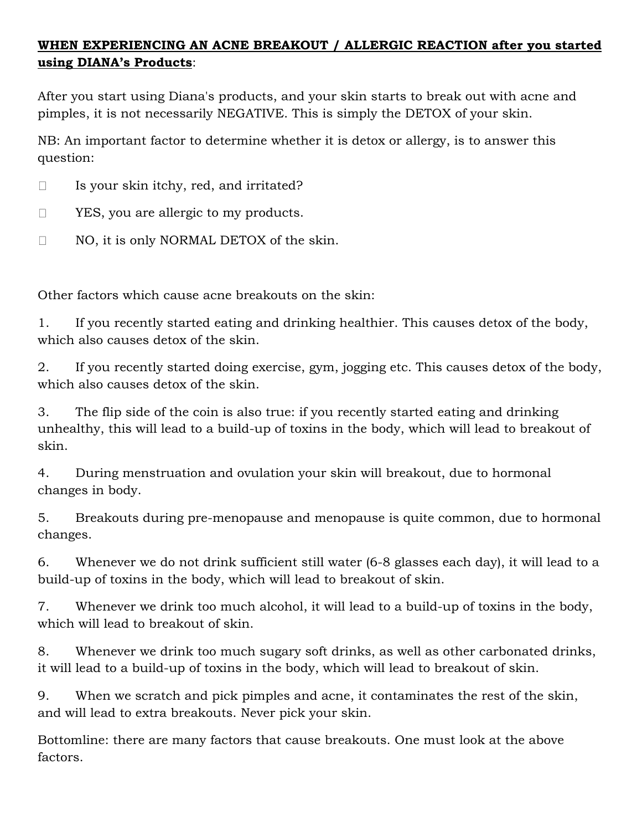## **WHEN EXPERIENCING AN ACNE BREAKOUT / ALLERGIC REACTION after you started using DIANA's Products**:

After you start using Diana's products, and your skin starts to break out with acne and pimples, it is not necessarily NEGATIVE. This is simply the DETOX of your skin.

NB: An important factor to determine whether it is detox or allergy, is to answer this question:

Is your skin itchy, red, and irritated?  $\Box$ 

 $\Box$ YES, you are allergic to my products.

 $\Box$ NO, it is only NORMAL DETOX of the skin.

Other factors which cause acne breakouts on the skin:

1. If you recently started eating and drinking healthier. This causes detox of the body, which also causes detox of the skin.

2. If you recently started doing exercise, gym, jogging etc. This causes detox of the body, which also causes detox of the skin.

3. The flip side of the coin is also true: if you recently started eating and drinking unhealthy, this will lead to a build-up of toxins in the body, which will lead to breakout of skin.

4. During menstruation and ovulation your skin will breakout, due to hormonal changes in body.

5. Breakouts during pre-menopause and menopause is quite common, due to hormonal changes.

6. Whenever we do not drink sufficient still water (6-8 glasses each day), it will lead to a build-up of toxins in the body, which will lead to breakout of skin.

7. Whenever we drink too much alcohol, it will lead to a build-up of toxins in the body, which will lead to breakout of skin.

8. Whenever we drink too much sugary soft drinks, as well as other carbonated drinks, it will lead to a build-up of toxins in the body, which will lead to breakout of skin.

9. When we scratch and pick pimples and acne, it contaminates the rest of the skin, and will lead to extra breakouts. Never pick your skin.

Bottomline: there are many factors that cause breakouts. One must look at the above factors.